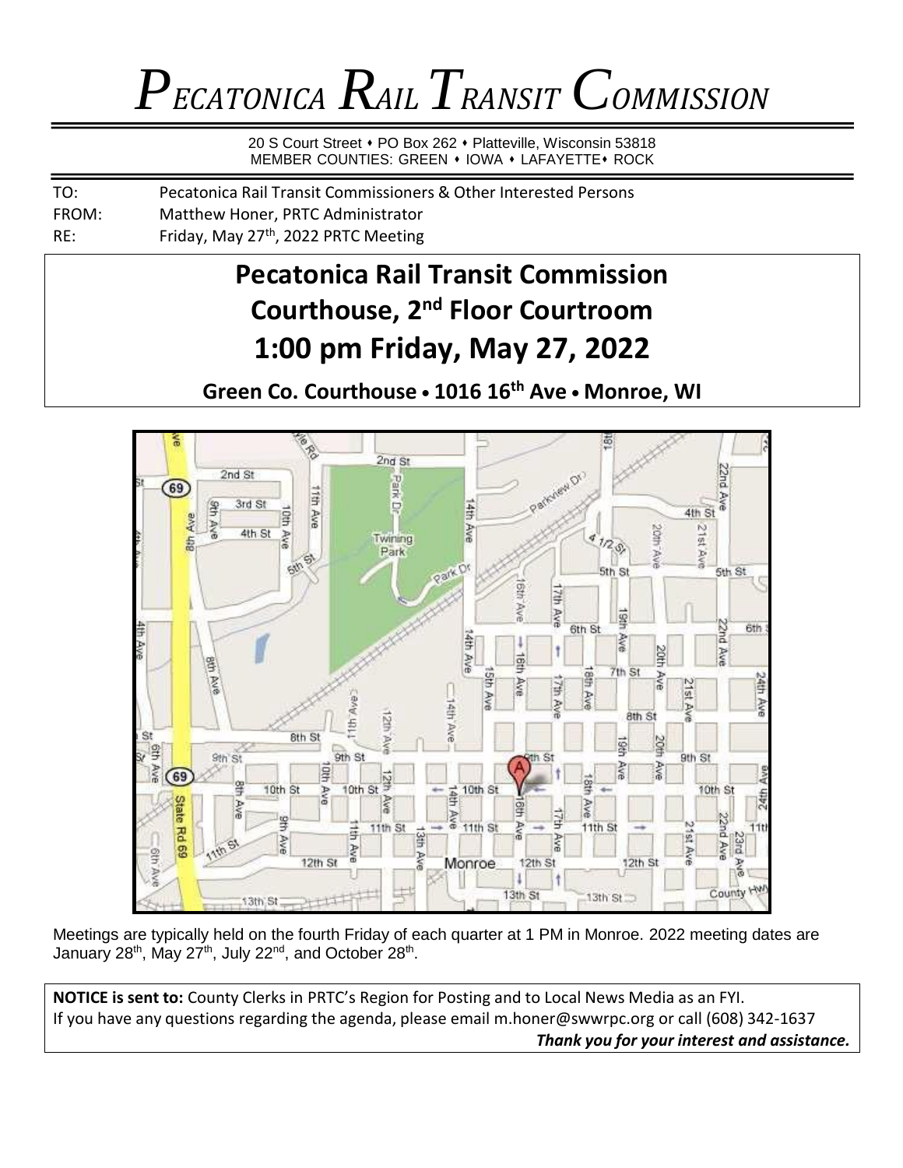## *PECATONICA RAILTRANSIT COMMISSION*

20 S Court Street • PO Box 262 • Platteville, Wisconsin 53818 MEMBER COUNTIES: GREEN • IOWA • LAFAYETTE • ROCK

| TO:   | Pecatonica Rail Transit Commissioners & Other Interested Persons |
|-------|------------------------------------------------------------------|
| FROM: | Matthew Honer, PRTC Administrator                                |
| RE:   | Friday, May 27 <sup>th</sup> , 2022 PRTC Meeting                 |

### **Pecatonica Rail Transit Commission Courthouse, 2nd Floor Courtroom 1:00 pm Friday, May 27, 2022**

**Green Co. Courthouse • 1016 16th Ave • Monroe, WI**



Meetings are typically held on the fourth Friday of each quarter at 1 PM in Monroe. 2022 meeting dates are January 28<sup>th</sup>, May 27<sup>th</sup>, July 22<sup>nd</sup>, and October 28<sup>th</sup>.

**NOTICE is sent to:** County Clerks in PRTC's Region for Posting and to Local News Media as an FYI. If you have any questions regarding the agenda, please email [m.honer@swwrpc.org](mailto:m.honer@swwrpc.org) or call (608) 342-1637 *Thank you for your interest and assistance.*